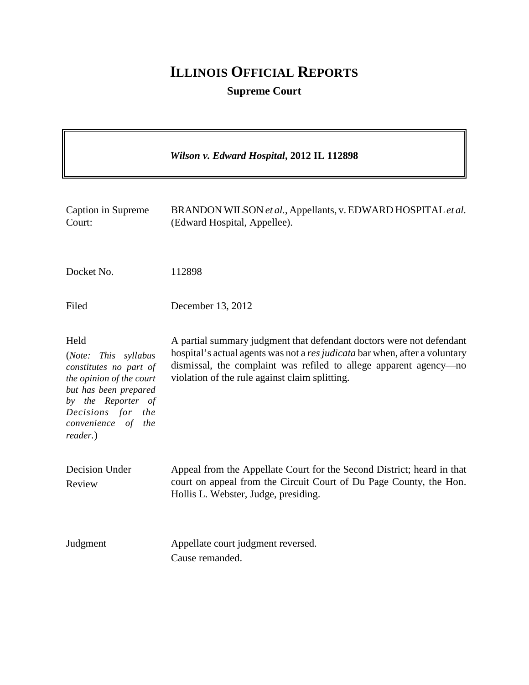# **ILLINOIS OFFICIAL REPORTS**

## **Supreme Court**

|                                                                                                                                                                                             | Wilson v. Edward Hospital, 2012 IL 112898                                                                                                                                                                                                                                  |
|---------------------------------------------------------------------------------------------------------------------------------------------------------------------------------------------|----------------------------------------------------------------------------------------------------------------------------------------------------------------------------------------------------------------------------------------------------------------------------|
| Caption in Supreme<br>Court:                                                                                                                                                                | BRANDON WILSON et al., Appellants, v. EDWARD HOSPITAL et al.<br>(Edward Hospital, Appellee).                                                                                                                                                                               |
| Docket No.                                                                                                                                                                                  | 112898                                                                                                                                                                                                                                                                     |
| Filed                                                                                                                                                                                       | December 13, 2012                                                                                                                                                                                                                                                          |
| Held<br>(Note: This syllabus<br>constitutes no part of<br>the opinion of the court<br>but has been prepared<br>by the Reporter of<br>Decisions for the<br>convenience of<br>the<br>reader.) | A partial summary judgment that defendant doctors were not defendant<br>hospital's actual agents was not a res judicata bar when, after a voluntary<br>dismissal, the complaint was refiled to allege apparent agency-no<br>violation of the rule against claim splitting. |
| Decision Under<br>Review                                                                                                                                                                    | Appeal from the Appellate Court for the Second District; heard in that<br>court on appeal from the Circuit Court of Du Page County, the Hon.<br>Hollis L. Webster, Judge, presiding.                                                                                       |
| Judgment                                                                                                                                                                                    | Appellate court judgment reversed.<br>Cause remanded.                                                                                                                                                                                                                      |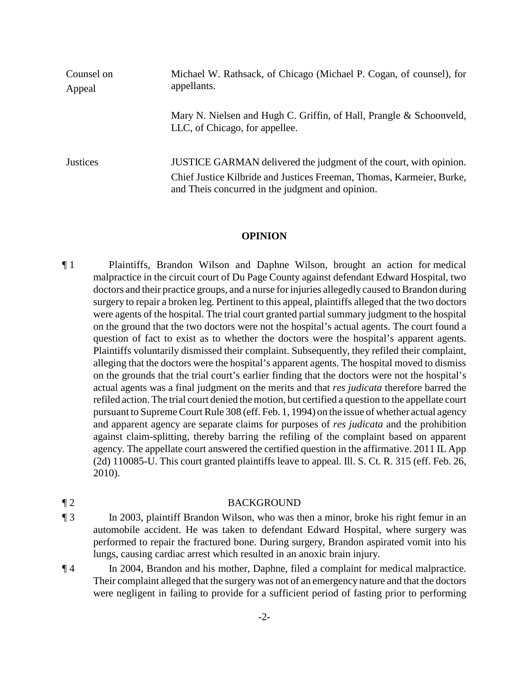| Counsel on<br>Appeal | Michael W. Rathsack, of Chicago (Michael P. Cogan, of counsel), for<br>appellants.                                                                                                             |
|----------------------|------------------------------------------------------------------------------------------------------------------------------------------------------------------------------------------------|
|                      | Mary N. Nielsen and Hugh C. Griffin, of Hall, Prangle & Schoonveld,<br>LLC, of Chicago, for appellee.                                                                                          |
| <b>Justices</b>      | JUSTICE GARMAN delivered the judgment of the court, with opinion.<br>Chief Justice Kilbride and Justices Freeman, Thomas, Karmeier, Burke,<br>and Theis concurred in the judgment and opinion. |

#### **OPINION**

¶ 1 Plaintiffs, Brandon Wilson and Daphne Wilson, brought an action for medical malpractice in the circuit court of Du Page County against defendant Edward Hospital, two doctors and their practice groups, and a nurse for injuries allegedly caused to Brandon during surgery to repair a broken leg. Pertinent to this appeal, plaintiffs alleged that the two doctors were agents of the hospital. The trial court granted partial summary judgment to the hospital on the ground that the two doctors were not the hospital's actual agents. The court found a question of fact to exist as to whether the doctors were the hospital's apparent agents. Plaintiffs voluntarily dismissed their complaint. Subsequently, they refiled their complaint, alleging that the doctors were the hospital's apparent agents. The hospital moved to dismiss on the grounds that the trial court's earlier finding that the doctors were not the hospital's actual agents was a final judgment on the merits and that *res judicata* therefore barred the refiled action. The trial court denied the motion, but certified a question to the appellate court pursuant to Supreme Court Rule 308 (eff. Feb. 1, 1994) on the issue of whether actual agency and apparent agency are separate claims for purposes of *res judicata* and the prohibition against claim-splitting, thereby barring the refiling of the complaint based on apparent agency. The appellate court answered the certified question in the affirmative. 2011 IL App (2d) 110085-U. This court granted plaintiffs leave to appeal. Ill. S. Ct. R. 315 (eff. Feb. 26, 2010).

### ¶ 2 BACKGROUND

#### ¶ 3 In 2003, plaintiff Brandon Wilson, who was then a minor, broke his right femur in an automobile accident. He was taken to defendant Edward Hospital, where surgery was performed to repair the fractured bone. During surgery, Brandon aspirated vomit into his lungs, causing cardiac arrest which resulted in an anoxic brain injury.

¶ 4 In 2004, Brandon and his mother, Daphne, filed a complaint for medical malpractice. Their complaint alleged that the surgery was not of an emergency nature and that the doctors were negligent in failing to provide for a sufficient period of fasting prior to performing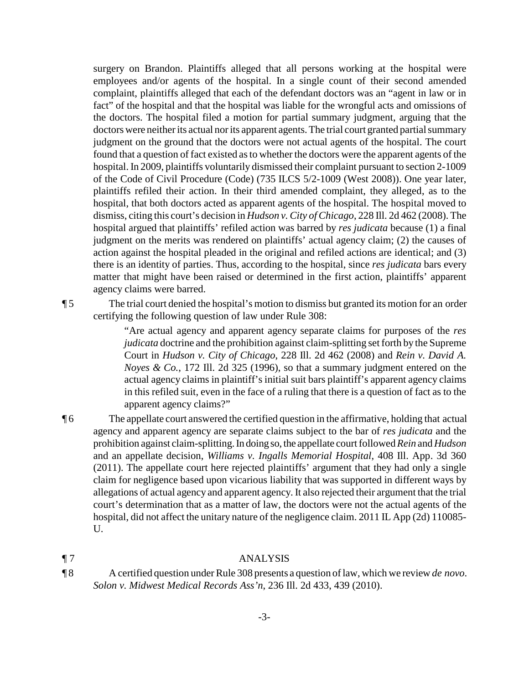surgery on Brandon. Plaintiffs alleged that all persons working at the hospital were employees and/or agents of the hospital. In a single count of their second amended complaint, plaintiffs alleged that each of the defendant doctors was an "agent in law or in fact" of the hospital and that the hospital was liable for the wrongful acts and omissions of the doctors. The hospital filed a motion for partial summary judgment, arguing that the doctors were neither its actual nor its apparent agents. The trial court granted partial summary judgment on the ground that the doctors were not actual agents of the hospital. The court found that a question of fact existed as to whether the doctors were the apparent agents of the hospital. In 2009, plaintiffs voluntarily dismissed their complaint pursuant to section 2-1009 of the Code of Civil Procedure (Code) (735 ILCS 5/2-1009 (West 2008)). One year later, plaintiffs refiled their action. In their third amended complaint, they alleged, as to the hospital, that both doctors acted as apparent agents of the hospital. The hospital moved to dismiss, citing this court's decision in *Hudson v. City of Chicago*, 228 Ill. 2d 462 (2008). The hospital argued that plaintiffs' refiled action was barred by *res judicata* because (1) a final judgment on the merits was rendered on plaintiffs' actual agency claim; (2) the causes of action against the hospital pleaded in the original and refiled actions are identical; and (3) there is an identity of parties. Thus, according to the hospital, since *res judicata* bars every matter that might have been raised or determined in the first action, plaintiffs' apparent agency claims were barred.

¶ 5 The trial court denied the hospital's motion to dismiss but granted its motion for an order certifying the following question of law under Rule 308:

> "Are actual agency and apparent agency separate claims for purposes of the *res judicata* doctrine and the prohibition against claim-splitting set forth by the Supreme Court in *Hudson v. City of Chicago*, 228 Ill. 2d 462 (2008) and *Rein v. David A. Noyes & Co.*, 172 Ill. 2d 325 (1996), so that a summary judgment entered on the actual agency claims in plaintiff's initial suit bars plaintiff's apparent agency claims in this refiled suit, even in the face of a ruling that there is a question of fact as to the apparent agency claims?"

- ¶ 6 The appellate court answered the certified question in the affirmative, holding that actual agency and apparent agency are separate claims subject to the bar of *res judicata* and the prohibition against claim-splitting.In doing so, the appellate court followed *Rein* and *Hudson* and an appellate decision, *Williams v. Ingalls Memorial Hospital*, 408 Ill. App. 3d 360 (2011). The appellate court here rejected plaintiffs' argument that they had only a single claim for negligence based upon vicarious liability that was supported in different ways by allegations of actual agency and apparent agency. It also rejected their argument that the trial court's determination that as a matter of law, the doctors were not the actual agents of the hospital, did not affect the unitary nature of the negligence claim. 2011 IL App (2d) 110085-U.
- 

#### ¶ 7 ANALYSIS

¶ 8 A certified question under Rule 308 presents a question of law, which we review *de novo*. *Solon v. Midwest Medical Records Ass'n*, 236 Ill. 2d 433, 439 (2010).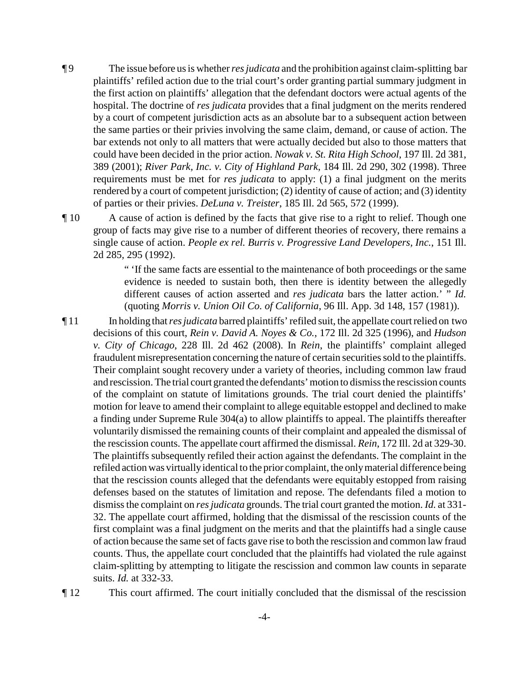- ¶ 9 The issue before us is whether*res judicata* and the prohibition against claim-splitting bar plaintiffs' refiled action due to the trial court's order granting partial summary judgment in the first action on plaintiffs' allegation that the defendant doctors were actual agents of the hospital. The doctrine of *res judicata* provides that a final judgment on the merits rendered by a court of competent jurisdiction acts as an absolute bar to a subsequent action between the same parties or their privies involving the same claim, demand, or cause of action. The bar extends not only to all matters that were actually decided but also to those matters that could have been decided in the prior action. *Nowak v. St. Rita High School*, 197 Ill. 2d 381, 389 (2001); *River Park, Inc. v. City of Highland Park*, 184 Ill. 2d 290, 302 (1998). Three requirements must be met for *res judicata* to apply: (1) a final judgment on the merits rendered by a court of competent jurisdiction; (2) identity of cause of action; and (3) identity of parties or their privies. *DeLuna v. Treister*, 185 Ill. 2d 565, 572 (1999).
- ¶ 10 A cause of action is defined by the facts that give rise to a right to relief. Though one group of facts may give rise to a number of different theories of recovery, there remains a single cause of action. *People ex rel. Burris v. Progressive Land Developers, Inc.*, 151 Ill. 2d 285, 295 (1992).

" 'If the same facts are essential to the maintenance of both proceedings or the same evidence is needed to sustain both, then there is identity between the allegedly different causes of action asserted and *res judicata* bars the latter action.' " *Id.* (quoting *Morris v. Union Oil Co. of California*, 96 Ill. App. 3d 148, 157 (1981)).

¶ 11 In holding that *res judicata* barred plaintiffs' refiled suit, the appellate court relied on two decisions of this court, *Rein v. David A. Noyes & Co.*, 172 Ill. 2d 325 (1996), and *Hudson v. City of Chicago*, 228 Ill. 2d 462 (2008). In *Rein*, the plaintiffs' complaint alleged fraudulent misrepresentation concerning the nature of certain securities sold to the plaintiffs. Their complaint sought recovery under a variety of theories, including common law fraud and rescission. The trial court granted the defendants'motion to dismissthe rescission counts of the complaint on statute of limitations grounds. The trial court denied the plaintiffs' motion for leave to amend their complaint to allege equitable estoppel and declined to make a finding under Supreme Rule 304(a) to allow plaintiffs to appeal. The plaintiffs thereafter voluntarily dismissed the remaining counts of their complaint and appealed the dismissal of the rescission counts. The appellate court affirmed the dismissal. *Rein*, 172 Ill. 2d at 329-30. The plaintiffs subsequently refiled their action against the defendants. The complaint in the refiled action was virtuallyidentical to the prior complaint, the onlymaterial difference being that the rescission counts alleged that the defendants were equitably estopped from raising defenses based on the statutes of limitation and repose. The defendants filed a motion to dismissthe complaint on *res judicata* grounds. The trial court granted the motion. *Id.* at 331- 32. The appellate court affirmed, holding that the dismissal of the rescission counts of the first complaint was a final judgment on the merits and that the plaintiffs had a single cause of action because the same set of facts gave rise to both the rescission and common law fraud counts. Thus, the appellate court concluded that the plaintiffs had violated the rule against claim-splitting by attempting to litigate the rescission and common law counts in separate suits. *Id.* at 332-33.

¶ 12 This court affirmed. The court initially concluded that the dismissal of the rescission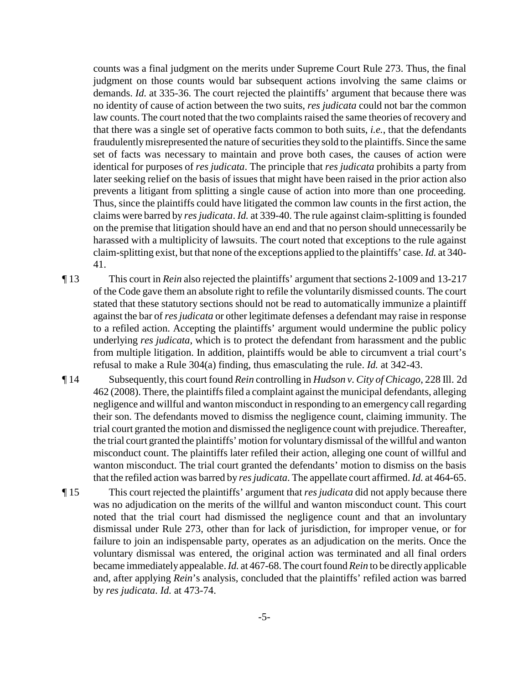counts was a final judgment on the merits under Supreme Court Rule 273. Thus, the final judgment on those counts would bar subsequent actions involving the same claims or demands. *Id.* at 335-36. The court rejected the plaintiffs' argument that because there was no identity of cause of action between the two suits, *res judicata* could not bar the common law counts. The court noted that the two complaints raised the same theories of recovery and that there was a single set of operative facts common to both suits, *i.e.*, that the defendants fraudulentlymisrepresented the nature of securities theysold to the plaintiffs. Since the same set of facts was necessary to maintain and prove both cases, the causes of action were identical for purposes of *res judicata*. The principle that *res judicata* prohibits a party from later seeking relief on the basis of issues that might have been raised in the prior action also prevents a litigant from splitting a single cause of action into more than one proceeding. Thus, since the plaintiffs could have litigated the common law counts in the first action, the claims were barred by *res judicata*. *Id.* at 339-40. The rule against claim-splitting is founded on the premise that litigation should have an end and that no person should unnecessarily be harassed with a multiplicity of lawsuits. The court noted that exceptions to the rule against claim-splitting exist, but that none of the exceptions applied to the plaintiffs' case. *Id.* at 340- 41.

¶ 13 This court in *Rein* also rejected the plaintiffs' argument that sections 2-1009 and 13-217 of the Code gave them an absolute right to refile the voluntarily dismissed counts. The court stated that these statutory sections should not be read to automatically immunize a plaintiff against the bar of *res judicata* or other legitimate defenses a defendant may raise in response to a refiled action. Accepting the plaintiffs' argument would undermine the public policy underlying *res judicata*, which is to protect the defendant from harassment and the public from multiple litigation. In addition, plaintiffs would be able to circumvent a trial court's refusal to make a Rule 304(a) finding, thus emasculating the rule. *Id.* at 342-43.

- ¶ 14 Subsequently, this court found *Rein* controlling in *Hudson v. City of Chicago*, 228 Ill. 2d 462 (2008). There, the plaintiffs filed a complaint against the municipal defendants, alleging negligence and willful and wanton misconduct in responding to an emergency call regarding their son. The defendants moved to dismiss the negligence count, claiming immunity. The trial court granted the motion and dismissed the negligence count with prejudice. Thereafter, the trial court granted the plaintiffs' motion for voluntary dismissal of the willful and wanton misconduct count. The plaintiffs later refiled their action, alleging one count of willful and wanton misconduct. The trial court granted the defendants' motion to dismiss on the basis that the refiled action was barred by *res judicata*. The appellate court affirmed. *Id.* at 464-65.
- ¶ 15 This court rejected the plaintiffs' argument that *res judicata* did not apply because there was no adjudication on the merits of the willful and wanton misconduct count. This court noted that the trial court had dismissed the negligence count and that an involuntary dismissal under Rule 273, other than for lack of jurisdiction, for improper venue, or for failure to join an indispensable party, operates as an adjudication on the merits. Once the voluntary dismissal was entered, the original action was terminated and all final orders became immediatelyappealable. *Id.* at 467-68. The court found *Rein* to be directly applicable and, after applying *Rein*'s analysis, concluded that the plaintiffs' refiled action was barred by *res judicata*. *Id.* at 473-74.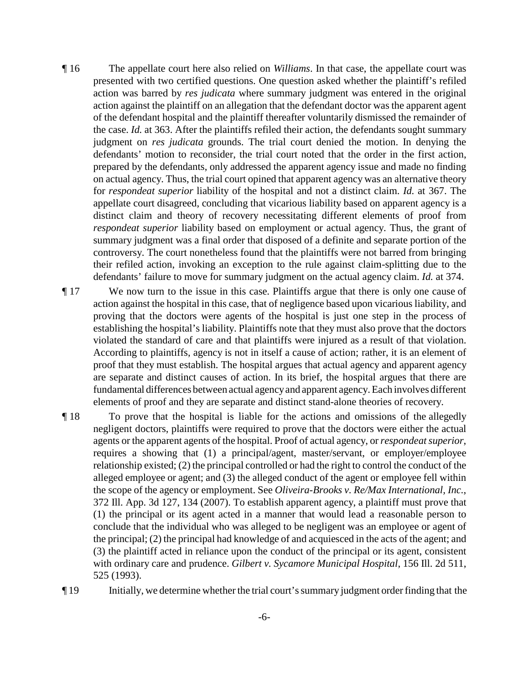- ¶ 16 The appellate court here also relied on *Williams*. In that case, the appellate court was presented with two certified questions. One question asked whether the plaintiff's refiled action was barred by *res judicata* where summary judgment was entered in the original action against the plaintiff on an allegation that the defendant doctor was the apparent agent of the defendant hospital and the plaintiff thereafter voluntarily dismissed the remainder of the case. *Id.* at 363. After the plaintiffs refiled their action, the defendants sought summary judgment on *res judicata* grounds. The trial court denied the motion. In denying the defendants' motion to reconsider, the trial court noted that the order in the first action, prepared by the defendants, only addressed the apparent agency issue and made no finding on actual agency. Thus, the trial court opined that apparent agency was an alternative theory for *respondeat superior* liability of the hospital and not a distinct claim. *Id.* at 367. The appellate court disagreed, concluding that vicarious liability based on apparent agency is a distinct claim and theory of recovery necessitating different elements of proof from *respondeat superior* liability based on employment or actual agency. Thus, the grant of summary judgment was a final order that disposed of a definite and separate portion of the controversy. The court nonetheless found that the plaintiffs were not barred from bringing their refiled action, invoking an exception to the rule against claim-splitting due to the defendants' failure to move for summary judgment on the actual agency claim. *Id.* at 374.
- ¶ 17 We now turn to the issue in this case. Plaintiffs argue that there is only one cause of action against the hospital in this case, that of negligence based upon vicarious liability, and proving that the doctors were agents of the hospital is just one step in the process of establishing the hospital's liability. Plaintiffs note that they must also prove that the doctors violated the standard of care and that plaintiffs were injured as a result of that violation. According to plaintiffs, agency is not in itself a cause of action; rather, it is an element of proof that they must establish. The hospital argues that actual agency and apparent agency are separate and distinct causes of action. In its brief, the hospital argues that there are fundamental differences between actual agencyand apparent agency. Each involves different elements of proof and they are separate and distinct stand-alone theories of recovery.
- ¶ 18 To prove that the hospital is liable for the actions and omissions of the allegedly negligent doctors, plaintiffs were required to prove that the doctors were either the actual agents or the apparent agents of the hospital. Proof of actual agency, or *respondeat superior*, requires a showing that (1) a principal/agent, master/servant, or employer/employee relationship existed; (2) the principal controlled or had the right to control the conduct of the alleged employee or agent; and (3) the alleged conduct of the agent or employee fell within the scope of the agency or employment. See *Oliveira-Brooks v. Re/Max International, Inc.*, 372 Ill. App. 3d 127, 134 (2007). To establish apparent agency, a plaintiff must prove that (1) the principal or its agent acted in a manner that would lead a reasonable person to conclude that the individual who was alleged to be negligent was an employee or agent of the principal; (2) the principal had knowledge of and acquiesced in the acts of the agent; and (3) the plaintiff acted in reliance upon the conduct of the principal or its agent, consistent with ordinary care and prudence. *Gilbert v. Sycamore Municipal Hospital*, 156 Ill. 2d 511, 525 (1993).
- ¶ 19 Initially, we determine whetherthe trial court's summary judgment orderfinding that the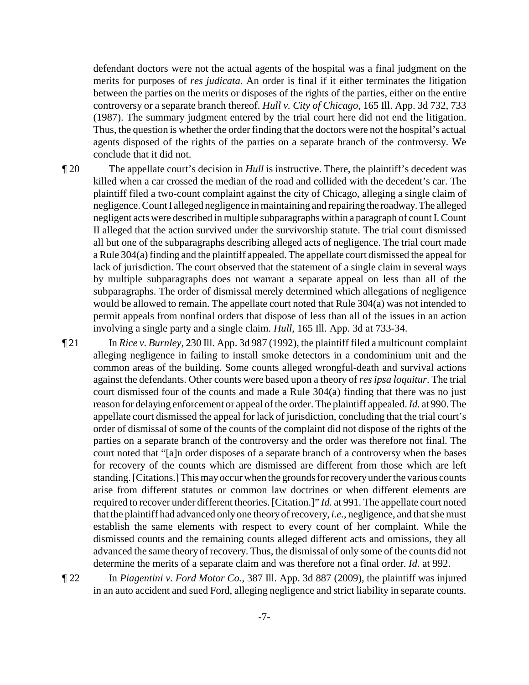defendant doctors were not the actual agents of the hospital was a final judgment on the merits for purposes of *res judicata*. An order is final if it either terminates the litigation between the parties on the merits or disposes of the rights of the parties, either on the entire controversy or a separate branch thereof. *Hull v. City of Chicago*, 165 Ill. App. 3d 732, 733 (1987). The summary judgment entered by the trial court here did not end the litigation. Thus, the question is whether the order finding that the doctors were not the hospital's actual agents disposed of the rights of the parties on a separate branch of the controversy. We conclude that it did not.

¶ 20 The appellate court's decision in *Hull* is instructive. There, the plaintiff's decedent was killed when a car crossed the median of the road and collided with the decedent's car. The plaintiff filed a two-count complaint against the city of Chicago, alleging a single claim of negligence. Count I alleged negligence in maintaining and repairing the roadway.The alleged negligent acts were described in multiple subparagraphs within a paragraph of count I. Count II alleged that the action survived under the survivorship statute. The trial court dismissed all but one of the subparagraphs describing alleged acts of negligence. The trial court made a Rule 304(a) finding and the plaintiff appealed. The appellate court dismissed the appeal for lack of jurisdiction. The court observed that the statement of a single claim in several ways by multiple subparagraphs does not warrant a separate appeal on less than all of the subparagraphs. The order of dismissal merely determined which allegations of negligence would be allowed to remain. The appellate court noted that Rule 304(a) was not intended to permit appeals from nonfinal orders that dispose of less than all of the issues in an action involving a single party and a single claim. *Hull*, 165 Ill. App. 3d at 733-34.

¶ 21 In *Rice v. Burnley*, 230 Ill. App. 3d 987 (1992), the plaintiff filed a multicount complaint alleging negligence in failing to install smoke detectors in a condominium unit and the common areas of the building. Some counts alleged wrongful-death and survival actions against the defendants. Other counts were based upon a theory of *res ipsa loquitur*. The trial court dismissed four of the counts and made a Rule 304(a) finding that there was no just reason for delaying enforcement or appeal of the order. The plaintiff appealed. *Id.* at 990. The appellate court dismissed the appeal for lack of jurisdiction, concluding that the trial court's order of dismissal of some of the counts of the complaint did not dispose of the rights of the parties on a separate branch of the controversy and the order was therefore not final. The court noted that "[a]n order disposes of a separate branch of a controversy when the bases for recovery of the counts which are dismissed are different from those which are left standing. [Citations.] This mayoccurwhen the grounds for recoveryunder the various counts arise from different statutes or common law doctrines or when different elements are required to recover under different theories. [Citation.]" *Id.* at 991. The appellate court noted that the plaintiff had advanced only one theory of recovery, *i.e.*, negligence, and that she must establish the same elements with respect to every count of her complaint. While the dismissed counts and the remaining counts alleged different acts and omissions, they all advanced the same theory of recovery. Thus, the dismissal of only some of the counts did not determine the merits of a separate claim and was therefore not a final order. *Id.* at 992.

¶ 22 In *Piagentini v. Ford Motor Co.*, 387 Ill. App. 3d 887 (2009), the plaintiff was injured in an auto accident and sued Ford, alleging negligence and strict liability in separate counts.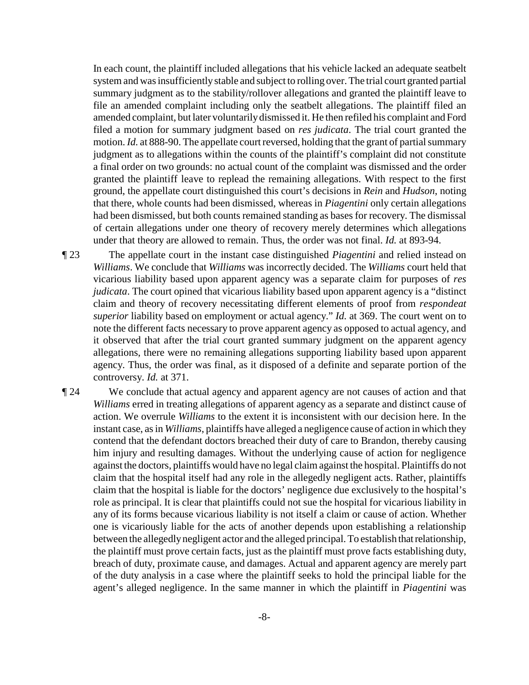In each count, the plaintiff included allegations that his vehicle lacked an adequate seatbelt system and was insufficiently stable and subject to rolling over. The trial court granted partial summary judgment as to the stability/rollover allegations and granted the plaintiff leave to file an amended complaint including only the seatbelt allegations. The plaintiff filed an amended complaint, but later voluntarilydismissed it. He then refiled his complaint and Ford filed a motion for summary judgment based on *res judicata*. The trial court granted the motion. *Id.* at 888-90. The appellate court reversed, holding that the grant of partial summary judgment as to allegations within the counts of the plaintiff's complaint did not constitute a final order on two grounds: no actual count of the complaint was dismissed and the order granted the plaintiff leave to replead the remaining allegations. With respect to the first ground, the appellate court distinguished this court's decisions in *Rein* and *Hudson*, noting that there, whole counts had been dismissed, whereas in *Piagentini* only certain allegations had been dismissed, but both counts remained standing as bases for recovery. The dismissal of certain allegations under one theory of recovery merely determines which allegations under that theory are allowed to remain. Thus, the order was not final. *Id.* at 893-94.

¶ 23 The appellate court in the instant case distinguished *Piagentini* and relied instead on *Williams*. We conclude that *Williams* was incorrectly decided. The *Williams* court held that vicarious liability based upon apparent agency was a separate claim for purposes of *res judicata*. The court opined that vicarious liability based upon apparent agency is a "distinct claim and theory of recovery necessitating different elements of proof from *respondeat superior* liability based on employment or actual agency." *Id.* at 369. The court went on to note the different facts necessary to prove apparent agency as opposed to actual agency, and it observed that after the trial court granted summary judgment on the apparent agency allegations, there were no remaining allegations supporting liability based upon apparent agency. Thus, the order was final, as it disposed of a definite and separate portion of the controversy. *Id.* at 371.

¶ 24 We conclude that actual agency and apparent agency are not causes of action and that *Williams* erred in treating allegations of apparent agency as a separate and distinct cause of action. We overrule *Williams* to the extent it is inconsistent with our decision here. In the instant case, as in *Williams*, plaintiffs have alleged a negligence cause of action in which they contend that the defendant doctors breached their duty of care to Brandon, thereby causing him injury and resulting damages. Without the underlying cause of action for negligence against the doctors, plaintiffs would have no legal claim against the hospital. Plaintiffs do not claim that the hospital itself had any role in the allegedly negligent acts. Rather, plaintiffs claim that the hospital is liable for the doctors' negligence due exclusively to the hospital's role as principal. It is clear that plaintiffs could not sue the hospital for vicarious liability in any of its forms because vicarious liability is not itself a claim or cause of action. Whether one is vicariously liable for the acts of another depends upon establishing a relationship between the allegedlynegligent actor and the alleged principal. To establish that relationship, the plaintiff must prove certain facts, just as the plaintiff must prove facts establishing duty, breach of duty, proximate cause, and damages. Actual and apparent agency are merely part of the duty analysis in a case where the plaintiff seeks to hold the principal liable for the agent's alleged negligence. In the same manner in which the plaintiff in *Piagentini* was